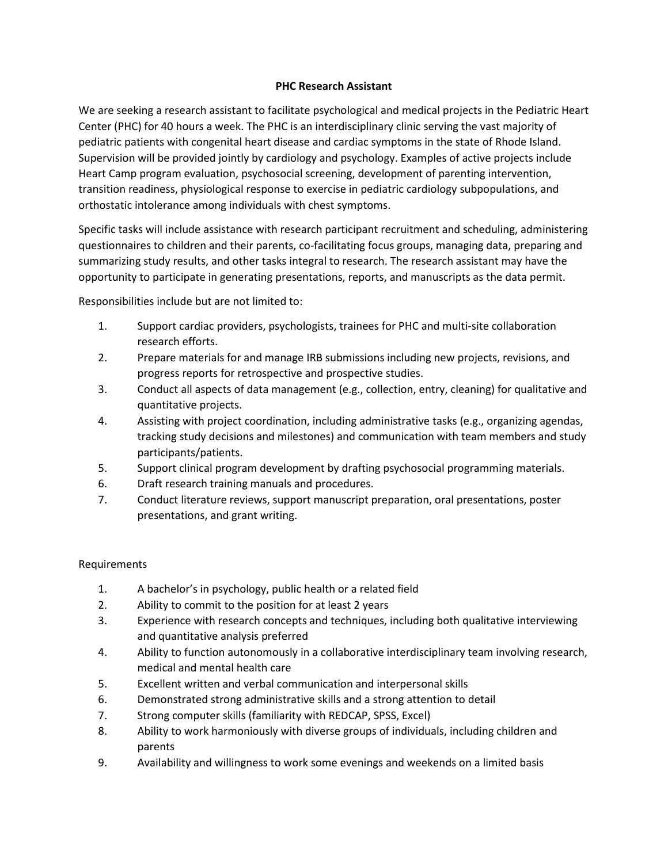## **PHC Research Assistant**

We are seeking a research assistant to facilitate psychological and medical projects in the Pediatric Heart Center (PHC) for 40 hours a week. The PHC is an interdisciplinary clinic serving the vast majority of pediatric patients with congenital heart disease and cardiac symptoms in the state of Rhode Island. Supervision will be provided jointly by cardiology and psychology. Examples of active projects include Heart Camp program evaluation, psychosocial screening, development of parenting intervention, transition readiness, physiological response to exercise in pediatric cardiology subpopulations, and orthostatic intolerance among individuals with chest symptoms.

Specific tasks will include assistance with research participant recruitment and scheduling, administering questionnaires to children and their parents, co-facilitating focus groups, managing data, preparing and summarizing study results, and other tasks integral to research. The research assistant may have the opportunity to participate in generating presentations, reports, and manuscripts as the data permit.

Responsibilities include but are not limited to:

- 1. Support cardiac providers, psychologists, trainees for PHC and multi-site collaboration research efforts.
- 2. Prepare materials for and manage IRB submissions including new projects, revisions, and progress reports for retrospective and prospective studies.
- 3. Conduct all aspects of data management (e.g., collection, entry, cleaning) for qualitative and quantitative projects.
- 4. Assisting with project coordination, including administrative tasks (e.g., organizing agendas, tracking study decisions and milestones) and communication with team members and study participants/patients.
- 5. Support clinical program development by drafting psychosocial programming materials.
- 6. Draft research training manuals and procedures.
- 7. Conduct literature reviews, support manuscript preparation, oral presentations, poster presentations, and grant writing.

## Requirements

- 1. A bachelor's in psychology, public health or a related field
- 2. Ability to commit to the position for at least 2 years
- 3. Experience with research concepts and techniques, including both qualitative interviewing and quantitative analysis preferred
- 4. Ability to function autonomously in a collaborative interdisciplinary team involving research, medical and mental health care
- 5. Excellent written and verbal communication and interpersonal skills
- 6. Demonstrated strong administrative skills and a strong attention to detail
- 7. Strong computer skills (familiarity with REDCAP, SPSS, Excel)
- 8. Ability to work harmoniously with diverse groups of individuals, including children and parents
- 9. Availability and willingness to work some evenings and weekends on a limited basis